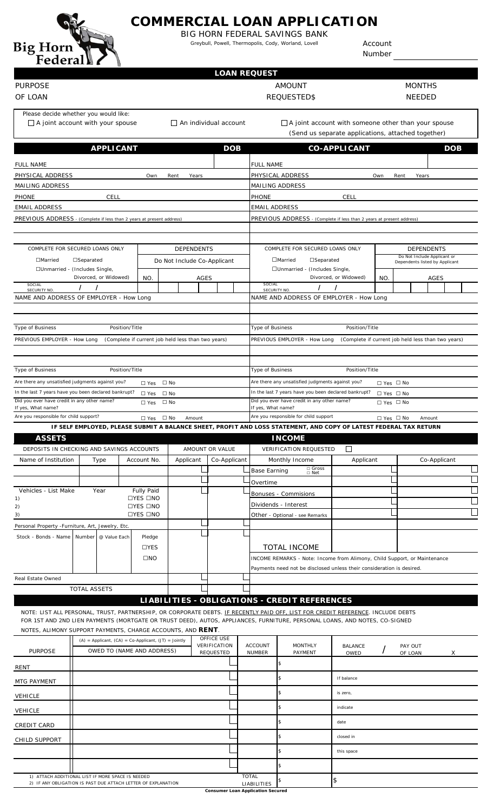

# **COMMERCIAL LOAN APPLICATION**

BIG HORN FEDERAL SAVINGS BANK Greybull, Powell, Thermopolis, Cody, Worland, Lovell

Account Number

#### PURPOSE OF LOAN

### **LOAN REQUEST**

AMOUNT REQUESTED\$ MONTHS NEEDED

Please decide whether you would like:

 $\Box$  A joint account with your spouse

An individual account

 $\Box$  A joint account with someone other than your spouse (Send us separate applications, attached together)

|                                                                                                                                 |                                | <b>APPLICANT</b> |                             |                                                            |           |       | <b>DOB</b>                |                                                                                           |                                                                              |                                                                                                                                                    | <b>CO-APPLICANT</b>    |              |                                                               |       |  | <b>DOB</b> |  |  |
|---------------------------------------------------------------------------------------------------------------------------------|--------------------------------|------------------|-----------------------------|------------------------------------------------------------|-----------|-------|---------------------------|-------------------------------------------------------------------------------------------|------------------------------------------------------------------------------|----------------------------------------------------------------------------------------------------------------------------------------------------|------------------------|--------------|---------------------------------------------------------------|-------|--|------------|--|--|
| <b>FULL NAME</b>                                                                                                                |                                |                  |                             |                                                            |           |       |                           |                                                                                           | <b>FULL NAME</b>                                                             |                                                                                                                                                    |                        |              |                                                               |       |  |            |  |  |
| PHYSICAL ADDRESS                                                                                                                |                                |                  |                             | Own                                                        | Rent      | Years |                           |                                                                                           |                                                                              | PHYSICAL ADDRESS                                                                                                                                   |                        | Own          | Rent                                                          | Years |  |            |  |  |
| MAILING ADDRESS                                                                                                                 |                                |                  |                             |                                                            |           |       |                           |                                                                                           |                                                                              | MAILING ADDRESS                                                                                                                                    |                        |              |                                                               |       |  |            |  |  |
| <b>PHONE</b><br>CELL                                                                                                            |                                |                  |                             |                                                            |           |       |                           |                                                                                           | <b>PHONE</b><br>CELL                                                         |                                                                                                                                                    |                        |              |                                                               |       |  |            |  |  |
| <b>EMAIL ADDRESS</b>                                                                                                            |                                |                  |                             |                                                            |           |       |                           |                                                                                           | <b>EMAIL ADDRESS</b>                                                         |                                                                                                                                                    |                        |              |                                                               |       |  |            |  |  |
| PREVIOUS ADDRESS - (Complete if less than 2 years at present address)                                                           |                                |                  |                             |                                                            |           |       |                           |                                                                                           | PREVIOUS ADDRESS - (Complete if less than 2 years at present address)        |                                                                                                                                                    |                        |              |                                                               |       |  |            |  |  |
|                                                                                                                                 |                                |                  |                             |                                                            |           |       |                           |                                                                                           |                                                                              |                                                                                                                                                    |                        |              |                                                               |       |  |            |  |  |
| COMPLETE FOR SECURED LOANS ONLY<br><b>DEPENDENTS</b>                                                                            |                                |                  |                             |                                                            |           |       |                           |                                                                                           | COMPLETE FOR SECURED LOANS ONLY                                              | <b>DEPENDENTS</b>                                                                                                                                  |                        |              |                                                               |       |  |            |  |  |
| $\Box$ Married<br>$\square$ Separated                                                                                           |                                |                  | Do Not Include Co-Applicant |                                                            |           |       |                           |                                                                                           | $\Box$ Married<br>$\square$ Separated                                        |                                                                                                                                                    |                        |              | Do Not Include Applicant or<br>Dependents listed by Applicant |       |  |            |  |  |
|                                                                                                                                 | □Unmarried - (Includes Single, |                  |                             |                                                            |           |       |                           |                                                                                           |                                                                              | □Unmarried - (Includes Single,                                                                                                                     |                        | <b>AGES</b>  |                                                               |       |  |            |  |  |
| SOCIAL                                                                                                                          | Divorced, or Widowed)<br>NO.   |                  |                             |                                                            |           | AGES  |                           |                                                                                           | SOCIAL                                                                       |                                                                                                                                                    | Divorced, or Widowed)  | <b>NO</b>    |                                                               |       |  |            |  |  |
| SECURITY NO.<br>NAME AND ADDRESS OF EMPLOYER - How Long                                                                         |                                |                  |                             |                                                            |           |       |                           |                                                                                           | SECURITY NO.<br>NAME AND ADDRESS OF EMPLOYER - How Long                      |                                                                                                                                                    |                        |              |                                                               |       |  |            |  |  |
|                                                                                                                                 |                                |                  |                             |                                                            |           |       |                           |                                                                                           |                                                                              |                                                                                                                                                    |                        |              |                                                               |       |  |            |  |  |
|                                                                                                                                 |                                |                  |                             |                                                            |           |       |                           |                                                                                           |                                                                              |                                                                                                                                                    |                        |              |                                                               |       |  |            |  |  |
| Type of Business<br>Position/Title                                                                                              |                                |                  |                             |                                                            |           |       |                           |                                                                                           | Type of Business                                                             |                                                                                                                                                    | Position/Title         |              |                                                               |       |  |            |  |  |
| PREVIOUS EMPLOYER - How Long<br>(Complete if current job held less than two years)                                              |                                |                  |                             |                                                            |           |       |                           |                                                                                           |                                                                              | PREVIOUS EMPLOYER - How Long<br>(Complete if current job held less than two years)                                                                 |                        |              |                                                               |       |  |            |  |  |
|                                                                                                                                 |                                |                  |                             |                                                            |           |       |                           |                                                                                           |                                                                              |                                                                                                                                                    |                        |              |                                                               |       |  |            |  |  |
| Type of Business<br>Position/Title                                                                                              |                                |                  |                             |                                                            |           |       |                           |                                                                                           | Type of Business<br>Position/Title                                           |                                                                                                                                                    |                        |              |                                                               |       |  |            |  |  |
| Are there any unsatisfied judgments against you?<br>$\Box$ Yes $\Box$ No                                                        |                                |                  |                             |                                                            |           |       |                           |                                                                                           | Are there any unsatisfied judgments against you?<br>$\Box$ Yes $\Box$ No     |                                                                                                                                                    |                        |              |                                                               |       |  |            |  |  |
| In the last 7 years have you been declared bankrupt?<br>$\Box$ No<br>$\square$ Yes                                              |                                |                  |                             |                                                            |           |       |                           |                                                                                           | In the last 7 years have you been declared bankrupt?<br>$\Box$ Yes $\Box$ No |                                                                                                                                                    |                        |              |                                                               |       |  |            |  |  |
| Did you ever have credit in any other name?<br>$\square$ No<br>$\square$ Yes<br>If yes, What name?                              |                                |                  |                             |                                                            |           |       |                           | Did you ever have credit in any other name?<br>$\Box$ Yes $\Box$ No<br>If yes, What name? |                                                                              |                                                                                                                                                    |                        |              |                                                               |       |  |            |  |  |
| Are you responsible for child support?<br>□ Yes □ No<br>Amount                                                                  |                                |                  |                             |                                                            |           |       |                           | Are you responsible for child support<br>□ Yes □ No<br>Amount                             |                                                                              |                                                                                                                                                    |                        |              |                                                               |       |  |            |  |  |
|                                                                                                                                 |                                |                  |                             |                                                            |           |       |                           |                                                                                           |                                                                              | IF SELF EMPLOYED, PLEASE SUBMIT A BALANCE SHEET, PROFIT AND LOSS STATEMENT, AND COPY OF LATEST FEDERAL TAX RETURN                                  |                        |              |                                                               |       |  |            |  |  |
| <b>ASSETS</b>                                                                                                                   |                                |                  |                             |                                                            |           |       |                           |                                                                                           |                                                                              | <b>INCOME</b>                                                                                                                                      |                        |              |                                                               |       |  |            |  |  |
| DEPOSITS IN CHECKING AND SAVINGS ACCOUNTS                                                                                       |                                |                  |                             |                                                            |           |       | AMOUNT OR VALUE           |                                                                                           |                                                                              | <b>VERIFICATION REQUESTED</b>                                                                                                                      | $\Box$                 | Co-Applicant |                                                               |       |  |            |  |  |
| Name of Institution                                                                                                             |                                | Type             |                             | Account No.                                                | Applicant |       | Co-Applicant              |                                                                                           | <b>Base Earning</b>                                                          | Monthly Income<br>$\Box$ Gross<br>$\Box$ Net                                                                                                       | Applicant              |              |                                                               |       |  |            |  |  |
|                                                                                                                                 |                                |                  |                             |                                                            |           |       |                           |                                                                                           | Overtime                                                                     |                                                                                                                                                    |                        |              |                                                               |       |  |            |  |  |
| Vehicles - List Make                                                                                                            |                                | Year             |                             | <b>Fully Paid</b>                                          |           |       |                           |                                                                                           |                                                                              | Bonuses - Commisions                                                                                                                               |                        |              |                                                               |       |  |            |  |  |
| 1)<br>2)                                                                                                                        |                                |                  |                             | <b>□YES □NO</b><br><b>□YES □NO</b>                         |           |       |                           |                                                                                           |                                                                              | Dividends - Interest                                                                                                                               |                        |              |                                                               |       |  |            |  |  |
| $\Box$ YES $\Box$ NO<br>3)                                                                                                      |                                |                  |                             |                                                            |           |       |                           |                                                                                           | Other - Optional - see Remarks                                               |                                                                                                                                                    |                        |              |                                                               |       |  |            |  |  |
| Personal Property -Furniture, Art, Jewelry, Etc.                                                                                |                                |                  |                             |                                                            |           |       |                           |                                                                                           |                                                                              |                                                                                                                                                    |                        |              |                                                               |       |  |            |  |  |
| Stock - Bonds - Name Number                                                                                                     |                                | @ Value Each     |                             | Pledge                                                     |           |       |                           |                                                                                           |                                                                              |                                                                                                                                                    |                        |              |                                                               |       |  |            |  |  |
|                                                                                                                                 |                                |                  |                             | $\Box$ YES                                                 |           |       |                           |                                                                                           |                                                                              | <b>TOTAL INCOME</b>                                                                                                                                |                        |              |                                                               |       |  |            |  |  |
|                                                                                                                                 |                                |                  |                             | $\square$ NO                                               |           |       |                           |                                                                                           |                                                                              | INCOME REMARKS - Note: Income from Alimony, Child Support, or Maintenance<br>Payments need not be disclosed unless their consideration is desired. |                        |              |                                                               |       |  |            |  |  |
| Real Estate Owned                                                                                                               |                                |                  |                             |                                                            |           |       |                           |                                                                                           |                                                                              |                                                                                                                                                    |                        |              |                                                               |       |  |            |  |  |
|                                                                                                                                 | <b>TOTAL ASSETS</b>            |                  |                             |                                                            |           |       |                           |                                                                                           |                                                                              |                                                                                                                                                    |                        |              |                                                               |       |  |            |  |  |
|                                                                                                                                 |                                |                  |                             |                                                            |           |       |                           |                                                                                           |                                                                              | LIABILITIES - OBLIGATIONS - CREDIT REFERENCES                                                                                                      |                        |              |                                                               |       |  |            |  |  |
| NOTE: LIST ALL PERSONAL, TRUST, PARTNERSHIP, OR CORPORATE DEBTS. IF RECENTLY PAID OFF, LIST FOR CREDIT REFERENCE. INCLUDE DEBTS |                                |                  |                             |                                                            |           |       |                           |                                                                                           |                                                                              |                                                                                                                                                    |                        |              |                                                               |       |  |            |  |  |
| FOR 1ST AND 2ND LIEN PAYMENTS (MORTGATE OR TRUST DEED), AUTOS, APPLIANCES, FURNITURE, PERSONAL LOANS, AND NOTES, CO-SIGNED      |                                |                  |                             |                                                            |           |       |                           |                                                                                           |                                                                              |                                                                                                                                                    |                        |              |                                                               |       |  |            |  |  |
| NOTES, ALIMONY SUPPORT PAYMENTS, CHARGE ACCOUNTS, AND RENT.                                                                     |                                |                  |                             | $(A)$ = Applicant, $(CA)$ = Co-Applicant, $(JT)$ = Jointly |           |       | OFFICE USE                |                                                                                           |                                                                              |                                                                                                                                                    |                        |              |                                                               |       |  |            |  |  |
| <b>PURPOSE</b>                                                                                                                  |                                |                  |                             | OWED TO (NAME AND ADDRESS)                                 |           |       | VERIFICATION<br>REQUESTED |                                                                                           | <b>ACCOUNT</b><br><b>NUMBER</b>                                              | <b>MONTHLY</b><br>PAYMENT                                                                                                                          | <b>BALANCE</b><br>OWED |              | PAY OUT<br>OF LOAN                                            |       |  | X          |  |  |
| RENT                                                                                                                            |                                |                  |                             |                                                            |           |       |                           |                                                                                           |                                                                              | \$                                                                                                                                                 |                        |              |                                                               |       |  |            |  |  |
| MTG PAYMENT                                                                                                                     |                                |                  |                             |                                                            |           |       |                           |                                                                                           |                                                                              |                                                                                                                                                    | If balance             |              |                                                               |       |  |            |  |  |
| <b>VEHICLE</b>                                                                                                                  |                                |                  |                             |                                                            |           |       |                           |                                                                                           |                                                                              | \$                                                                                                                                                 | is zero,               |              |                                                               |       |  |            |  |  |
| <b>VEHICLE</b>                                                                                                                  |                                |                  |                             |                                                            |           |       |                           |                                                                                           |                                                                              | \$                                                                                                                                                 | indicate               |              |                                                               |       |  |            |  |  |
| CREDIT CARD                                                                                                                     |                                |                  |                             |                                                            |           |       |                           |                                                                                           |                                                                              | \$                                                                                                                                                 | date                   |              |                                                               |       |  |            |  |  |
|                                                                                                                                 |                                |                  |                             |                                                            |           |       |                           |                                                                                           |                                                                              | \$                                                                                                                                                 | closed in              |              |                                                               |       |  |            |  |  |
| <b>CHILD SUPPORT</b>                                                                                                            |                                |                  |                             |                                                            |           |       |                           |                                                                                           |                                                                              | \$                                                                                                                                                 | this space             |              |                                                               |       |  |            |  |  |
|                                                                                                                                 |                                |                  |                             |                                                            |           |       |                           |                                                                                           |                                                                              |                                                                                                                                                    |                        |              |                                                               |       |  |            |  |  |
|                                                                                                                                 |                                |                  |                             |                                                            |           |       |                           |                                                                                           |                                                                              | \$                                                                                                                                                 |                        |              |                                                               |       |  |            |  |  |
| 1) ATTACH ADDITIONAL LIST IF MORE SPACE IS NEEDED<br>2) IF ANY OBLIGATION IS PAST DUE ATTACH LETTER OF EXPLANATION              |                                |                  |                             |                                                            |           |       |                           |                                                                                           | <b>TOTAL</b><br>LIABILITIES                                                  |                                                                                                                                                    | $\boldsymbol{\theta}$  |              |                                                               |       |  |            |  |  |